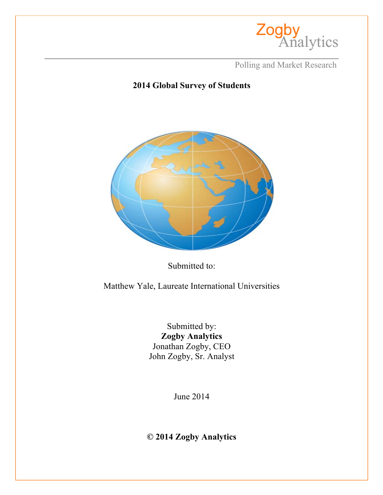

**Polling and Market Research** 

# **2014 Global Survey of Students**



Submitted to:

Matthew Yale, Laureate International Universities

Submitted by: **Zogby Analytics** Jonathan Zogby, CEO John Zogby, Sr. Analyst

June 2014

**© 2014 Zogby Analytics**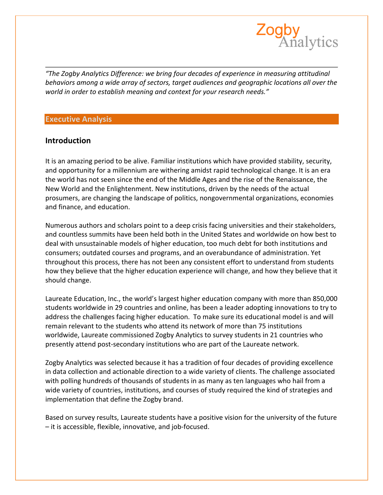

*"The Zogby Analytics Difference: we bring four decades of experience in measuring attitudinal behaviors* among a wide array of sectors, target audiences and geographic locations all over the *world in order to establish meaning and context for your research needs."* 

#### **Executive Analysis**

### **Introduction**

It is an amazing period to be alive. Familiar institutions which have provided stability, security, and opportunity for a millennium are withering amidst rapid technological change. It is an era the world has not seen since the end of the Middle Ages and the rise of the Renaissance, the New World and the Enlightenment. New institutions, driven by the needs of the actual prosumers, are changing the landscape of politics, nongovernmental organizations, economies and finance, and education.

Numerous authors and scholars point to a deep crisis facing universities and their stakeholders, and countless summits have been held both in the United States and worldwide on how best to deal with unsustainable models of higher education, too much debt for both institutions and consumers; outdated courses and programs, and an overabundance of administration. Yet throughout this process, there has not been any consistent effort to understand from students how they believe that the higher education experience will change, and how they believe that it should change.

Laureate Education, Inc., the world's largest higher education company with more than 850,000 students worldwide in 29 countries and online, has been a leader adopting innovations to try to address the challenges facing higher education. To make sure its educational model is and will remain relevant to the students who attend its network of more than 75 institutions worldwide, Laureate commissioned Zogby Analytics to survey students in 21 countries who presently attend post-secondary institutions who are part of the Laureate network.

Zogby Analytics was selected because it has a tradition of four decades of providing excellence in data collection and actionable direction to a wide variety of clients. The challenge associated with polling hundreds of thousands of students in as many as ten languages who hail from a wide variety of countries, institutions, and courses of study required the kind of strategies and implementation that define the Zogby brand.

Based on survey results, Laureate students have a positive vision for the university of the future  $-$  it is accessible, flexible, innovative, and job-focused.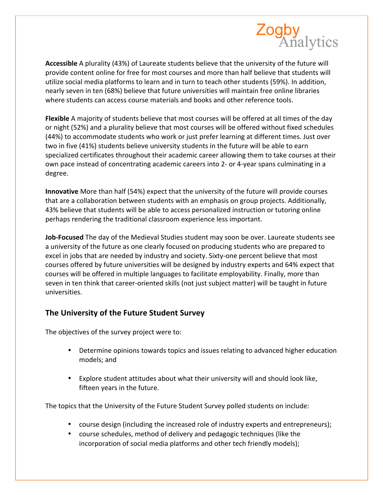

Accessible A plurality (43%) of Laureate students believe that the university of the future will provide content online for free for most courses and more than half believe that students will utilize social media platforms to learn and in turn to teach other students (59%). In addition, nearly seven in ten (68%) believe that future universities will maintain free online libraries where students can access course materials and books and other reference tools.

**Flexible** A majority of students believe that most courses will be offered at all times of the day or night (52%) and a plurality believe that most courses will be offered without fixed schedules (44%) to accommodate students who work or just prefer learning at different times. Just over two in five (41%) students believe university students in the future will be able to earn specialized certificates throughout their academic career allowing them to take courses at their own pace instead of concentrating academic careers into 2- or 4-year spans culminating in a degree.

**Innovative** More than half (54%) expect that the university of the future will provide courses that are a collaboration between students with an emphasis on group projects. Additionally, 43% believe that students will be able to access personalized instruction or tutoring online perhaps rendering the traditional classroom experience less important.

**Job-Focused** The day of the Medieval Studies student may soon be over. Laureate students see a university of the future as one clearly focused on producing students who are prepared to excel in jobs that are needed by industry and society. Sixty-one percent believe that most courses offered by future universities will be designed by industry experts and 64% expect that courses will be offered in multiple languages to facilitate employability. Finally, more than seven in ten think that career-oriented skills (not just subject matter) will be taught in future universities.

### **The University of the Future Student Survey**

The objectives of the survey project were to:

- Determine opinions towards topics and issues relating to advanced higher education models; and
- Explore student attitudes about what their university will and should look like, fifteen years in the future.

The topics that the University of the Future Student Survey polled students on include:

- course design (including the increased role of industry experts and entrepreneurs);
- course schedules, method of delivery and pedagogic techniques (like the incorporation of social media platforms and other tech friendly models);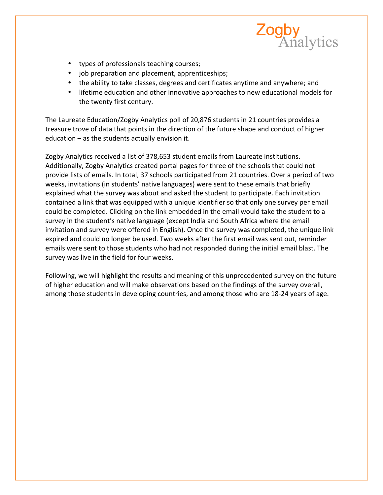

- types of professionals teaching courses;
- job preparation and placement, apprenticeships;
- the ability to take classes, degrees and certificates anytime and anywhere; and
- lifetime education and other innovative approaches to new educational models for the twenty first century.

The Laureate Education/Zogby Analytics poll of 20,876 students in 21 countries provides a treasure trove of data that points in the direction of the future shape and conduct of higher education  $-$  as the students actually envision it.

Zogby Analytics received a list of 378,653 student emails from Laureate institutions. Additionally, Zogby Analytics created portal pages for three of the schools that could not provide lists of emails. In total, 37 schools participated from 21 countries. Over a period of two weeks, invitations (in students' native languages) were sent to these emails that briefly explained what the survey was about and asked the student to participate. Each invitation contained a link that was equipped with a unique identifier so that only one survey per email could be completed. Clicking on the link embedded in the email would take the student to a survey in the student's native language (except India and South Africa where the email invitation and survey were offered in English). Once the survey was completed, the unique link expired and could no longer be used. Two weeks after the first email was sent out, reminder emails were sent to those students who had not responded during the initial email blast. The survey was live in the field for four weeks.

Following, we will highlight the results and meaning of this unprecedented survey on the future of higher education and will make observations based on the findings of the survey overall, among those students in developing countries, and among those who are 18-24 years of age.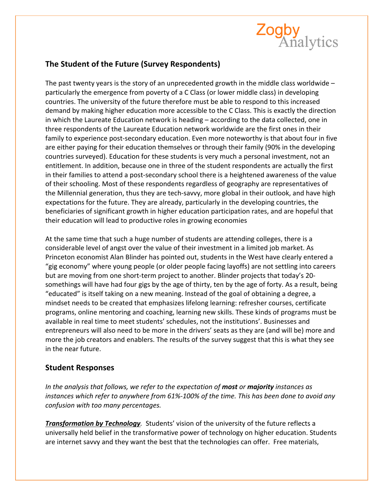

## **The Student of the Future (Survey Respondents)**

The past twenty years is the story of an unprecedented growth in the middle class worldwide  $$ particularly the emergence from poverty of a C Class (or lower middle class) in developing countries. The university of the future therefore must be able to respond to this increased demand by making higher education more accessible to the C Class. This is exactly the direction in which the Laureate Education network is heading  $-$  according to the data collected, one in three respondents of the Laureate Education network worldwide are the first ones in their family to experience post-secondary education. Even more noteworthy is that about four in five are either paying for their education themselves or through their family (90% in the developing countries surveyed). Education for these students is very much a personal investment, not an entitlement. In addition, because one in three of the student respondents are actually the first in their families to attend a post-secondary school there is a heightened awareness of the value of their schooling. Most of these respondents regardless of geography are representatives of the Millennial generation, thus they are tech-savvy, more global in their outlook, and have high expectations for the future. They are already, particularly in the developing countries, the beneficiaries of significant growth in higher education participation rates, and are hopeful that their education will lead to productive roles in growing economies

At the same time that such a huge number of students are attending colleges, there is a considerable level of angst over the value of their investment in a limited job market. As Princeton economist Alan Blinder has pointed out, students in the West have clearly entered a "gig economy" where young people (or older people facing layoffs) are not settling into careers but are moving from one short-term project to another. Blinder projects that today's 20somethings will have had four gigs by the age of thirty, ten by the age of forty. As a result, being "educated" is itself taking on a new meaning. Instead of the goal of obtaining a degree, a mindset needs to be created that emphasizes lifelong learning: refresher courses, certificate programs, online mentoring and coaching, learning new skills. These kinds of programs must be available in real time to meet students' schedules, not the institutions'. Businesses and entrepreneurs will also need to be more in the drivers' seats as they are (and will be) more and more the job creators and enablers. The results of the survey suggest that this is what they see in the near future.

### **Student Responses**

In the analysis that follows, we refer to the expectation of **most** or **majority** instances as *instances* which refer to anywhere from 61%-100% of the time. This has been done to avoid any *confusion with too many percentages.*

**Transformation by Technology**. Students' vision of the university of the future reflects a universally held belief in the transformative power of technology on higher education. Students are internet savvy and they want the best that the technologies can offer. Free materials,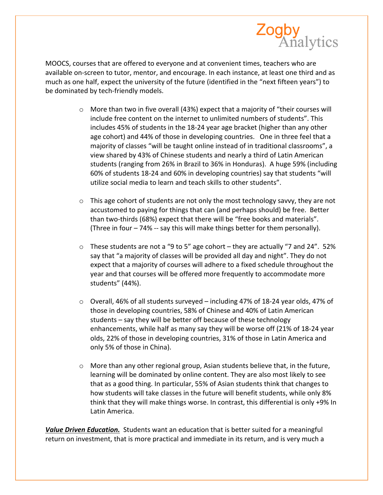

MOOCS, courses that are offered to everyone and at convenient times, teachers who are available on-screen to tutor, mentor, and encourage. In each instance, at least one third and as much as one half, expect the university of the future (identified in the "next fifteen years") to be dominated by tech-friendly models.

- $\circ$  More than two in five overall (43%) expect that a majority of "their courses will include free content on the internet to unlimited numbers of students". This includes 45% of students in the 18-24 year age bracket (higher than any other age cohort) and 44% of those in developing countries. One in three feel that a majority of classes "will be taught online instead of in traditional classrooms", a view shared by 43% of Chinese students and nearly a third of Latin American students (ranging from 26% in Brazil to 36% in Honduras). A huge 59% (including 60% of students 18-24 and 60% in developing countries) say that students "will utilize social media to learn and teach skills to other students".
- $\circ$  This age cohort of students are not only the most technology savvy, they are not accustomed to paying for things that can (and perhaps should) be free. Better than two-thirds (68%) expect that there will be "free books and materials". (Three in four - 74% -- say this will make things better for them personally).
- $\circ$  These students are not a "9 to 5" age cohort they are actually "7 and 24". 52% say that "a majority of classes will be provided all day and night". They do not expect that a majority of courses will adhere to a fixed schedule throughout the year and that courses will be offered more frequently to accommodate more students" (44%).
- $\circ$  Overall, 46% of all students surveyed including 47% of 18-24 year olds, 47% of those in developing countries, 58% of Chinese and 40% of Latin American students – say they will be better off because of these technology enhancements, while half as many say they will be worse off (21% of 18-24 year olds, 22% of those in developing countries, 31% of those in Latin America and only 5% of those in China).
- $\circ$  More than any other regional group, Asian students believe that, in the future, learning will be dominated by online content. They are also most likely to see that as a good thing. In particular, 55% of Asian students think that changes to how students will take classes in the future will benefit students, while only 8% think that they will make things worse. In contrast, this differential is only +9% In Latin America.

**Value Driven Education.** Students want an education that is better suited for a meaningful return on investment, that is more practical and immediate in its return, and is very much a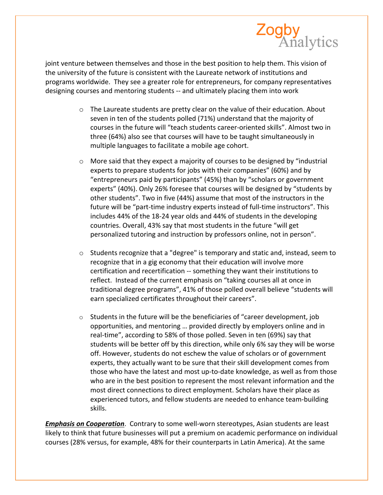

joint venture between themselves and those in the best position to help them. This vision of the university of the future is consistent with the Laureate network of institutions and programs worldwide. They see a greater role for entrepreneurs, for company representatives designing courses and mentoring students -- and ultimately placing them into work

- $\circ$  The Laureate students are pretty clear on the value of their education. About seven in ten of the students polled (71%) understand that the majority of courses in the future will "teach students career-oriented skills". Almost two in three (64%) also see that courses will have to be taught simultaneously in multiple languages to facilitate a mobile age cohort.
- $\circ$  More said that they expect a majority of courses to be designed by "industrial experts to prepare students for jobs with their companies" (60%) and by "entrepreneurs paid by participants" (45%) than by "scholars or government experts" (40%). Only 26% foresee that courses will be designed by "students by other students". Two in five (44%) assume that most of the instructors in the future will be "part-time industry experts instead of full-time instructors". This includes 44% of the 18-24 year olds and 44% of students in the developing countries. Overall, 43% say that most students in the future "will get personalized tutoring and instruction by professors online, not in person".
- $\circ$  Students recognize that a "degree" is temporary and static and, instead, seem to recognize that in a gig economy that their education will involve more certification and recertification -- something they want their institutions to reflect. Instead of the current emphasis on "taking courses all at once in traditional degree programs", 41% of those polled overall believe "students will earn specialized certificates throughout their careers".
- $\circ$  Students in the future will be the beneficiaries of "career development, job opportunities, and mentoring ... provided directly by employers online and in real-time", according to 58% of those polled. Seven in ten (69%) say that students will be better off by this direction, while only 6% say they will be worse off. However, students do not eschew the value of scholars or of government experts, they actually want to be sure that their skill development comes from those who have the latest and most up-to-date knowledge, as well as from those who are in the best position to represent the most relevant information and the most direct connections to direct employment. Scholars have their place as experienced tutors, and fellow students are needed to enhance team-building skills.

*Emphasis on Cooperation.* Contrary to some well-worn stereotypes, Asian students are least likely to think that future businesses will put a premium on academic performance on individual courses (28% versus, for example, 48% for their counterparts in Latin America). At the same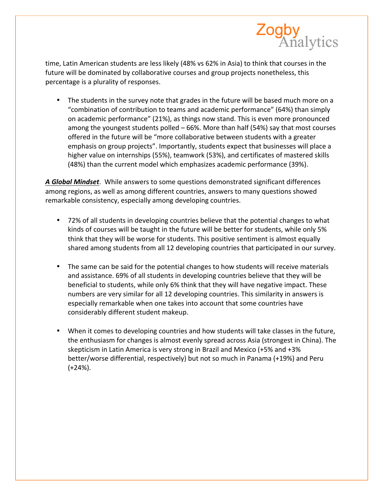

time, Latin American students are less likely (48% vs 62% in Asia) to think that courses in the future will be dominated by collaborative courses and group projects nonetheless, this percentage is a plurality of responses.

• The students in the survey note that grades in the future will be based much more on a "combination of contribution to teams and academic performance" (64%) than simply on academic performance" (21%), as things now stand. This is even more pronounced among the youngest students polled  $-66%$ . More than half (54%) say that most courses offered in the future will be "more collaborative between students with a greater emphasis on group projects". Importantly, students expect that businesses will place a higher value on internships (55%), teamwork (53%), and certificates of mastered skills (48%) than the current model which emphasizes academic performance (39%).

A Global Mindset. While answers to some questions demonstrated significant differences among regions, as well as among different countries, answers to many questions showed remarkable consistency, especially among developing countries.

- 72% of all students in developing countries believe that the potential changes to what kinds of courses will be taught in the future will be better for students, while only 5% think that they will be worse for students. This positive sentiment is almost equally shared among students from all 12 developing countries that participated in our survey.
- The same can be said for the potential changes to how students will receive materials and assistance. 69% of all students in developing countries believe that they will be beneficial to students, while only 6% think that they will have negative impact. These numbers are very similar for all 12 developing countries. This similarity in answers is especially remarkable when one takes into account that some countries have considerably different student makeup.
- When it comes to developing countries and how students will take classes in the future, the enthusiasm for changes is almost evenly spread across Asia (strongest in China). The skepticism in Latin America is very strong in Brazil and Mexico (+5% and +3% better/worse differential, respectively) but not so much in Panama (+19%) and Peru (+24%).